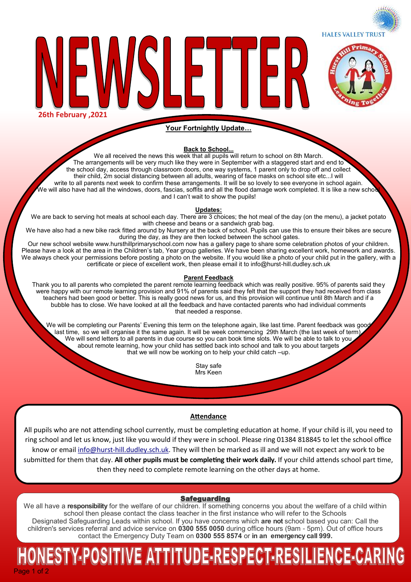**HALES VALLEY TRUST** 



**26th February ,2021**

### **Your Fortnightly Update…**

LE 1 LEI

#### **Back to School...**

We all received the news this week that all pupils will return to school on 8th March. The arrangements will be very much like they were in September with a staggered start and end to the school day, access through classroom doors, one way systems, 1 parent only to drop off and collect their child, 2m social distancing between all adults, wearing of face masks on school site etc...I will write to all parents next week to confirm these arrangements. It will be so lovely to see everyone in school again. We will also have had all the windows, doors, fascias, soffits and all the flood damage work completed. It is like a new scho and I can't wait to show the pupils!

#### **Updates:**

We are back to serving hot meals at school each day. There are 3 choices; the hot meal of the day (on the menu), a jacket potato with cheese and beans or a sandwich grab bag.

We have also had a new bike rack fitted around by Nursery at the back of school. Pupils can use this to ensure their bikes are secure during the day, as they are then locked between the school gates.

Our new school website www.hursthillprimaryschool.com now has a gallery page to share some celebration photos of your children. Please have a look at the area in the Children's tab, Year group galleries. We have been sharing excellent work, homework and awards. We always check your permissions before posting a photo on the website. If you would like a photo of your child put in the gallery, with a certificate or piece of excellent work, then please email it to info@hurst-hill.dudley.sch.uk

#### **Parent Feedback**

Thank you to all parents who completed the parent remote learning feedback which was really positive. 95% of parents said they were happy with our remote learning provision and 91% of parents said they felt that the support they had received from class teachers had been good or better. This is really good news for us, and this provision will continue until 8th March and if a bubble has to close. We have looked at all the feedback and have contacted parents who had individual comments that needed a response.

We will be completing our Parents' Evening this term on the telephone again, like last time. Parent feedback was good last time, so we will organise it the same again. It will be week commencing 29th March (the last week of term) We will send letters to all parents in due course so you can book time slots. We will be able to talk to you about remote learning, how your child has settled back into school and talk to you about targets that we will now be working on to help your child catch –up.

> Stay safe Mrs Keen

#### **Attendance**

All pupils who are not attending school currently, must be completing education at home. If your child is ill, you need to ring school and let us know, just like you would if they were in school. Please ring 01384 818845 to let the school office know or email info@hurst-[hill.dudley.sch.uk.](mailto:info@hurst-hill.dudley.sch.uk) They will then be marked as ill and we will not expect any work to be submitted for them that day. **All other pupils must be completing their work daily.** If your child attends school part time, then they need to complete remote learning on the other days at home.

#### Safeguarding

We all have a **responsibility** for the welfare of our children. If something concerns you about the welfare of a child within school then please contact the class teacher in the first instance who will refer to the Schools Designated Safeguarding Leads within school. If you have concerns which **are not** school based you can: Call the children's services referral and advice service on **0300 555 0050** during office hours (9am - 5pm). Out of office hours contact the Emergency Duty Team on **0300 555 8574** or **in an emergency call 999.** 

## <u>ESTY-POSITIVE ATTITUDE-RESPECT-RESILIENCE-CARI</u> Page 1 of 2